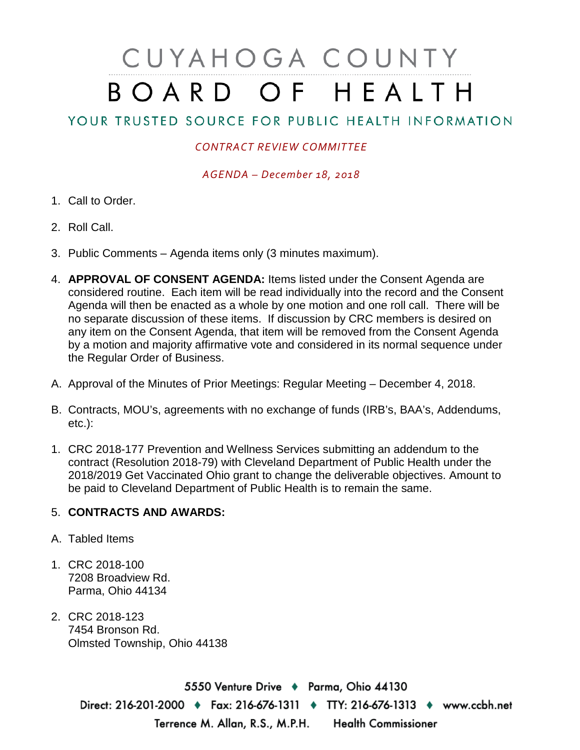## CUYAHOGA COUNTY BOARD OF HEALTH

## YOUR TRUSTED SOURCE FOR PUBLIC HEALTH INFORMATION

## *CONTRACT REVIEW COMMITTEE*

*AGENDA – December 18, 2018*

- 1. Call to Order.
- 2. Roll Call.
- 3. Public Comments Agenda items only (3 minutes maximum).
- 4. **APPROVAL OF CONSENT AGENDA:** Items listed under the Consent Agenda are considered routine. Each item will be read individually into the record and the Consent Agenda will then be enacted as a whole by one motion and one roll call. There will be no separate discussion of these items. If discussion by CRC members is desired on any item on the Consent Agenda, that item will be removed from the Consent Agenda by a motion and majority affirmative vote and considered in its normal sequence under the Regular Order of Business.
- A. Approval of the Minutes of Prior Meetings: Regular Meeting December 4, 2018.
- B. Contracts, MOU's, agreements with no exchange of funds (IRB's, BAA's, Addendums, etc.):
- 1. CRC 2018-177 Prevention and Wellness Services submitting an addendum to the contract (Resolution 2018-79) with Cleveland Department of Public Health under the 2018/2019 Get Vaccinated Ohio grant to change the deliverable objectives. Amount to be paid to Cleveland Department of Public Health is to remain the same.

## 5. **CONTRACTS AND AWARDS:**

- A. Tabled Items
- 1. CRC 2018-100 7208 Broadview Rd. Parma, Ohio 44134
- 2. CRC 2018-123 7454 Bronson Rd. Olmsted Township, Ohio 44138

5550 Venture Drive + Parma, Ohio 44130 Direct: 216-201-2000 ♦ Fax: 216-676-1311 ♦ TTY: 216-676-1313 ♦ www.ccbh.net **Health Commissioner** Terrence M. Allan, R.S., M.P.H.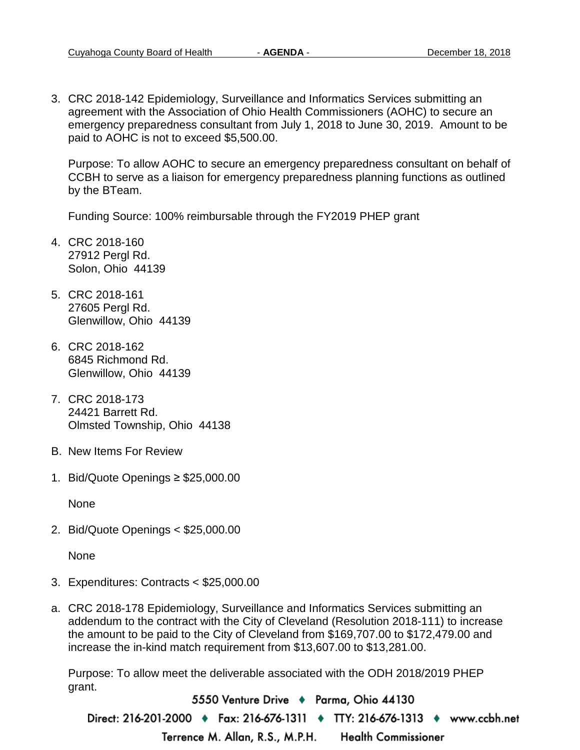3. CRC 2018-142 Epidemiology, Surveillance and Informatics Services submitting an agreement with the Association of Ohio Health Commissioners (AOHC) to secure an emergency preparedness consultant from July 1, 2018 to June 30, 2019. Amount to be paid to AOHC is not to exceed \$5,500.00.

Purpose: To allow AOHC to secure an emergency preparedness consultant on behalf of CCBH to serve as a liaison for emergency preparedness planning functions as outlined by the BTeam.

Funding Source: 100% reimbursable through the FY2019 PHEP grant

- 4. CRC 2018-160 27912 Pergl Rd. Solon, Ohio 44139
- 5. CRC 2018-161 27605 Pergl Rd. Glenwillow, Ohio 44139
- 6. CRC 2018-162 6845 Richmond Rd. Glenwillow, Ohio 44139
- 7. CRC 2018-173 24421 Barrett Rd. Olmsted Township, Ohio 44138
- B. New Items For Review
- 1. Bid/Quote Openings ≥ \$25,000.00

None

2. Bid/Quote Openings < \$25,000.00

None

- 3. Expenditures: Contracts < \$25,000.00
- a. CRC 2018-178 Epidemiology, Surveillance and Informatics Services submitting an addendum to the contract with the City of Cleveland (Resolution 2018-111) to increase the amount to be paid to the City of Cleveland from \$169,707.00 to \$172,479.00 and increase the in-kind match requirement from \$13,607.00 to \$13,281.00.

Purpose: To allow meet the deliverable associated with the ODH 2018/2019 PHEP grant.

5550 Venture Drive + Parma, Ohio 44130 Direct: 216-201-2000 ♦ Fax: 216-676-1311 ♦ TTY: 216-676-1313 ♦ www.ccbh.net Terrence M. Allan, R.S., M.P.H. **Health Commissioner**